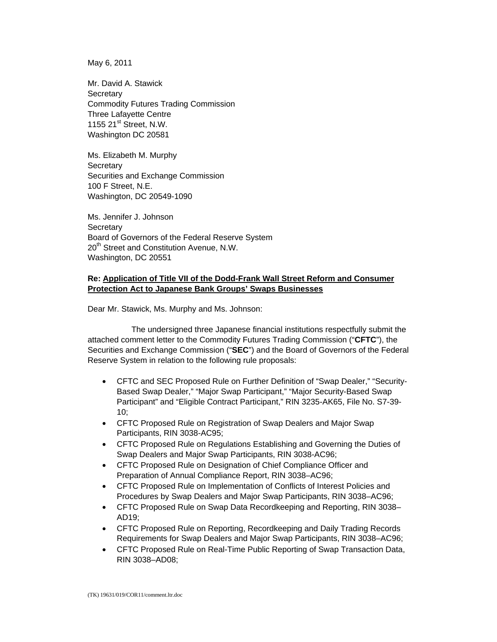May 6, 2011

Mr. David A. Stawick **Secretary** Commodity Futures Trading Commission Three Lafayette Centre 1155  $21^{st}$  Street, N.W. Washington DC 20581

Ms. Elizabeth M. Murphy **Secretary** Securities and Exchange Commission 100 F Street, N.E. Washington, DC 20549-1090

Ms. Jennifer J. Johnson **Secretary** Board of Governors of the Federal Reserve System 20<sup>th</sup> Street and Constitution Avenue, N.W. Washington, DC 20551

# **Re: Application of Title VII of the Dodd-Frank Wall Street Reform and Consumer Protection Act to Japanese Bank Groups' Swaps Businesses**

Dear Mr. Stawick, Ms. Murphy and Ms. Johnson:

 The undersigned three Japanese financial institutions respectfully submit the attached comment letter to the Commodity Futures Trading Commission ("**CFTC**"), the Securities and Exchange Commission ("**SEC**") and the Board of Governors of the Federal Reserve System in relation to the following rule proposals:

- CFTC and SEC Proposed Rule on Further Definition of "Swap Dealer," "Security-Based Swap Dealer," "Major Swap Participant," "Major Security-Based Swap Participant" and "Eligible Contract Participant," RIN 3235-AK65, File No. S7-39- 10;
- CFTC Proposed Rule on Registration of Swap Dealers and Major Swap Participants, RIN 3038-AC95;
- CFTC Proposed Rule on Regulations Establishing and Governing the Duties of Swap Dealers and Major Swap Participants, RIN 3038-AC96;
- CFTC Proposed Rule on Designation of Chief Compliance Officer and Preparation of Annual Compliance Report, RIN 3038–AC96;
- CFTC Proposed Rule on Implementation of Conflicts of Interest Policies and Procedures by Swap Dealers and Major Swap Participants, RIN 3038–AC96;
- CFTC Proposed Rule on Swap Data Recordkeeping and Reporting, RIN 3038– AD19;
- CFTC Proposed Rule on Reporting, Recordkeeping and Daily Trading Records Requirements for Swap Dealers and Major Swap Participants, RIN 3038–AC96;
- CFTC Proposed Rule on Real-Time Public Reporting of Swap Transaction Data, RIN 3038–AD08;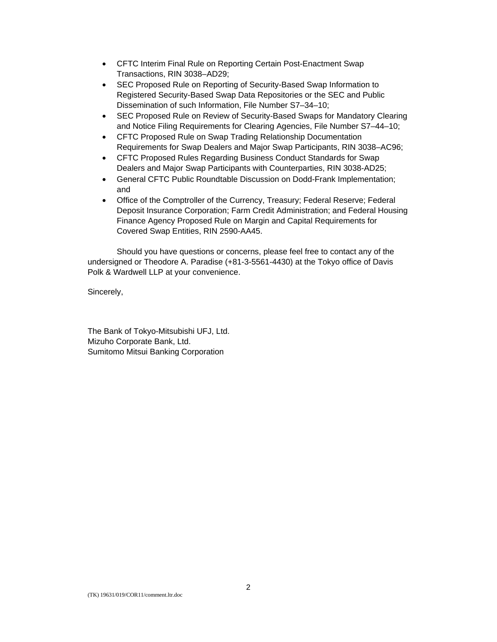- CFTC Interim Final Rule on Reporting Certain Post-Enactment Swap Transactions, RIN 3038–AD29;
- SEC Proposed Rule on Reporting of Security-Based Swap Information to Registered Security-Based Swap Data Repositories or the SEC and Public Dissemination of such Information, File Number S7–34–10;
- SEC Proposed Rule on Review of Security-Based Swaps for Mandatory Clearing and Notice Filing Requirements for Clearing Agencies, File Number S7–44–10;
- CFTC Proposed Rule on Swap Trading Relationship Documentation Requirements for Swap Dealers and Major Swap Participants, RIN 3038–AC96;
- CFTC Proposed Rules Regarding Business Conduct Standards for Swap Dealers and Major Swap Participants with Counterparties, RIN 3038-AD25;
- General CFTC Public Roundtable Discussion on Dodd-Frank Implementation; and
- Office of the Comptroller of the Currency, Treasury; Federal Reserve; Federal Deposit Insurance Corporation; Farm Credit Administration; and Federal Housing Finance Agency Proposed Rule on Margin and Capital Requirements for Covered Swap Entities, RIN 2590-AA45.

Should you have questions or concerns, please feel free to contact any of the undersigned or Theodore A. Paradise (+81-3-5561-4430) at the Tokyo office of Davis Polk & Wardwell LLP at your convenience.

Sincerely,

The Bank of Tokyo-Mitsubishi UFJ, Ltd. Mizuho Corporate Bank, Ltd. Sumitomo Mitsui Banking Corporation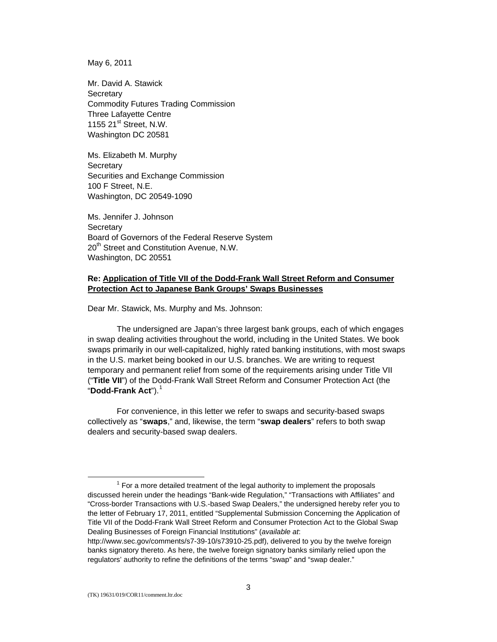May 6, 2011

Mr. David A. Stawick **Secretary** Commodity Futures Trading Commission Three Lafayette Centre 1155  $21^{st}$  Street, N.W. Washington DC 20581

Ms. Elizabeth M. Murphy **Secretary** Securities and Exchange Commission 100 F Street, N.E. Washington, DC 20549-1090

Ms. Jennifer J. Johnson **Secretary** Board of Governors of the Federal Reserve System 20<sup>th</sup> Street and Constitution Avenue, N.W. Washington, DC 20551

## **Re: Application of Title VII of the Dodd-Frank Wall Street Reform and Consumer Protection Act to Japanese Bank Groups' Swaps Businesses**

Dear Mr. Stawick, Ms. Murphy and Ms. Johnson:

The undersigned are Japan's three largest bank groups, each of which engages in swap dealing activities throughout the world, including in the United States. We book swaps primarily in our well-capitalized, highly rated banking institutions, with most swaps in the U.S. market being booked in our U.S. branches. We are writing to request temporary and permanent relief from some of the requirements arising under Title VII ("**Title VII**") of the Dodd-Frank Wall Street Reform and Consumer Protection Act (the "**Dodd-Frank Act"**).<sup>[1](#page-2-0)</sup>

For convenience, in this letter we refer to swaps and security-based swaps collectively as "**swaps**," and, likewise, the term "**swap dealers**" refers to both swap dealers and security-based swap dealers.

<span id="page-2-0"></span> $\overline{\phantom{a}}$  1  $1$  For a more detailed treatment of the legal authority to implement the proposals discussed herein under the headings "Bank-wide Regulation," "Transactions with Affiliates" and "Cross-border Transactions with U.S.-based Swap Dealers," the undersigned hereby refer you to the letter of February 17, 2011, entitled "Supplemental Submission Concerning the Application of Title VII of the Dodd-Frank Wall Street Reform and Consumer Protection Act to the Global Swap Dealing Businesses of Foreign Financial Institutions" (*available at*:

http://www.sec.gov/comments/s7-39-10/s73910-25.pdf), delivered to you by the twelve foreign banks signatory thereto. As here, the twelve foreign signatory banks similarly relied upon the regulators' authority to refine the definitions of the terms "swap" and "swap dealer."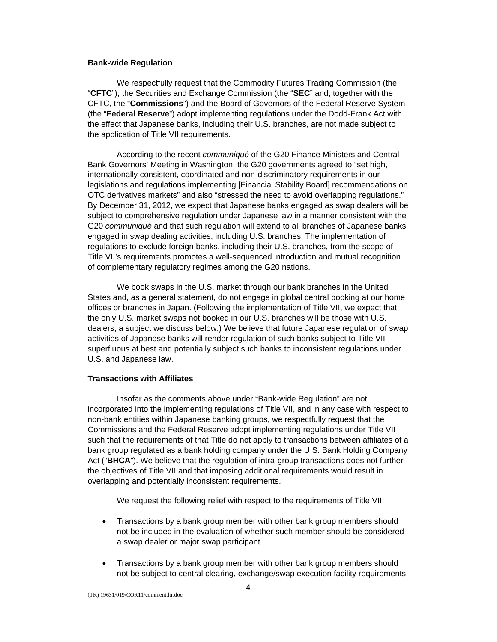### **Bank-wide Regulation**

We respectfully request that the Commodity Futures Trading Commission (the "**CFTC**"), the Securities and Exchange Commission (the "**SEC**" and, together with the CFTC, the "**Commissions**") and the Board of Governors of the Federal Reserve System (the "**Federal Reserve**") adopt implementing regulations under the Dodd-Frank Act with the effect that Japanese banks, including their U.S. branches, are not made subject to the application of Title VII requirements.

According to the recent *communiqué* of the G20 Finance Ministers and Central Bank Governors' Meeting in Washington, the G20 governments agreed to "set high, internationally consistent, coordinated and non-discriminatory requirements in our legislations and regulations implementing [Financial Stability Board] recommendations on OTC derivatives markets" and also "stressed the need to avoid overlapping regulations." By December 31, 2012, we expect that Japanese banks engaged as swap dealers will be subject to comprehensive regulation under Japanese law in a manner consistent with the G20 *communiqué* and that such regulation will extend to all branches of Japanese banks engaged in swap dealing activities, including U.S. branches. The implementation of regulations to exclude foreign banks, including their U.S. branches, from the scope of Title VII's requirements promotes a well-sequenced introduction and mutual recognition of complementary regulatory regimes among the G20 nations.

We book swaps in the U.S. market through our bank branches in the United States and, as a general statement, do not engage in global central booking at our home offices or branches in Japan. (Following the implementation of Title VII, we expect that the only U.S. market swaps not booked in our U.S. branches will be those with U.S. dealers, a subject we discuss below.) We believe that future Japanese regulation of swap activities of Japanese banks will render regulation of such banks subject to Title VII superfluous at best and potentially subject such banks to inconsistent regulations under U.S. and Japanese law.

#### **Transactions with Affiliates**

Insofar as the comments above under "Bank-wide Regulation" are not incorporated into the implementing regulations of Title VII, and in any case with respect to non-bank entities within Japanese banking groups, we respectfully request that the Commissions and the Federal Reserve adopt implementing regulations under Title VII such that the requirements of that Title do not apply to transactions between affiliates of a bank group regulated as a bank holding company under the U.S. Bank Holding Company Act ("**BHCA**"). We believe that the regulation of intra-group transactions does not further the objectives of Title VII and that imposing additional requirements would result in overlapping and potentially inconsistent requirements.

We request the following relief with respect to the requirements of Title VII:

- Transactions by a bank group member with other bank group members should not be included in the evaluation of whether such member should be considered a swap dealer or major swap participant.
- Transactions by a bank group member with other bank group members should not be subject to central clearing, exchange/swap execution facility requirements,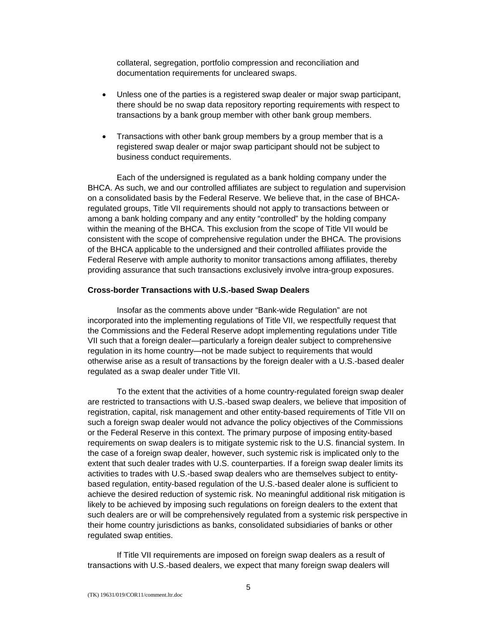collateral, segregation, portfolio compression and reconciliation and documentation requirements for uncleared swaps.

- Unless one of the parties is a registered swap dealer or major swap participant, there should be no swap data repository reporting requirements with respect to transactions by a bank group member with other bank group members.
- Transactions with other bank group members by a group member that is a registered swap dealer or major swap participant should not be subject to business conduct requirements.

Each of the undersigned is regulated as a bank holding company under the BHCA. As such, we and our controlled affiliates are subject to regulation and supervision on a consolidated basis by the Federal Reserve. We believe that, in the case of BHCAregulated groups, Title VII requirements should not apply to transactions between or among a bank holding company and any entity "controlled" by the holding company within the meaning of the BHCA. This exclusion from the scope of Title VII would be consistent with the scope of comprehensive regulation under the BHCA. The provisions of the BHCA applicable to the undersigned and their controlled affiliates provide the Federal Reserve with ample authority to monitor transactions among affiliates, thereby providing assurance that such transactions exclusively involve intra-group exposures.

#### **Cross-border Transactions with U.S.-based Swap Dealers**

Insofar as the comments above under "Bank-wide Regulation" are not incorporated into the implementing regulations of Title VII, we respectfully request that the Commissions and the Federal Reserve adopt implementing regulations under Title VII such that a foreign dealer—particularly a foreign dealer subject to comprehensive regulation in its home country—not be made subject to requirements that would otherwise arise as a result of transactions by the foreign dealer with a U.S.-based dealer regulated as a swap dealer under Title VII.

To the extent that the activities of a home country-regulated foreign swap dealer are restricted to transactions with U.S.-based swap dealers, we believe that imposition of registration, capital, risk management and other entity-based requirements of Title VII on such a foreign swap dealer would not advance the policy objectives of the Commissions or the Federal Reserve in this context. The primary purpose of imposing entity-based requirements on swap dealers is to mitigate systemic risk to the U.S. financial system. In the case of a foreign swap dealer, however, such systemic risk is implicated only to the extent that such dealer trades with U.S. counterparties. If a foreign swap dealer limits its activities to trades with U.S.-based swap dealers who are themselves subject to entitybased regulation, entity-based regulation of the U.S.-based dealer alone is sufficient to achieve the desired reduction of systemic risk. No meaningful additional risk mitigation is likely to be achieved by imposing such regulations on foreign dealers to the extent that such dealers are or will be comprehensively regulated from a systemic risk perspective in their home country jurisdictions as banks, consolidated subsidiaries of banks or other regulated swap entities.

If Title VII requirements are imposed on foreign swap dealers as a result of transactions with U.S.-based dealers, we expect that many foreign swap dealers will